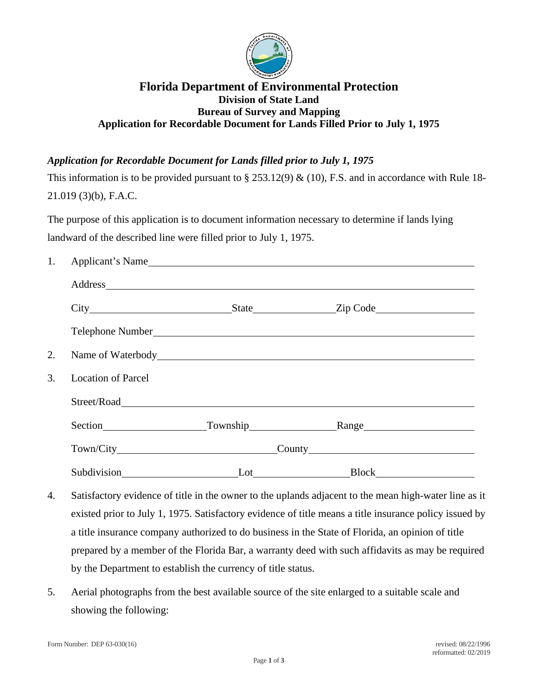

#### **Florida Department of Environmental Protection Division of State Land Bureau of Survey and Mapping Application for Recordable Document for Lands Filled Prior to July 1, 1975**

# *Application for Recordable Document for Lands filled prior to July 1, 1975*

This information is to be provided pursuant to  $\S 253.12(9) \& (10)$ , F.S. and in accordance with Rule 18-21.019 (3)(b), F.A.C.

The purpose of this application is to document information necessary to determine if lands lying landward of the described line were filled prior to July 1, 1975.

| 1. | Applicant's Name<br>Address and the state of the state of the state of the state of the state of the state of the state of the state of the state of the state of the state of the state of the state of the state of the state of the state of th |     |                                                                                                                                                                                                                                     |  |
|----|----------------------------------------------------------------------------------------------------------------------------------------------------------------------------------------------------------------------------------------------------|-----|-------------------------------------------------------------------------------------------------------------------------------------------------------------------------------------------------------------------------------------|--|
|    |                                                                                                                                                                                                                                                    |     |                                                                                                                                                                                                                                     |  |
|    |                                                                                                                                                                                                                                                    |     |                                                                                                                                                                                                                                     |  |
|    |                                                                                                                                                                                                                                                    |     |                                                                                                                                                                                                                                     |  |
| 2. |                                                                                                                                                                                                                                                    |     | Name of Waterbody <b>Exercise 2008</b> Service Service Service Service Service Service Service Service Service Service Service Service Service Service Service Service Service Service Service Service Service Service Service Serv |  |
| 3. | <b>Location of Parcel</b>                                                                                                                                                                                                                          |     |                                                                                                                                                                                                                                     |  |
|    |                                                                                                                                                                                                                                                    |     |                                                                                                                                                                                                                                     |  |
|    |                                                                                                                                                                                                                                                    |     |                                                                                                                                                                                                                                     |  |
|    |                                                                                                                                                                                                                                                    |     |                                                                                                                                                                                                                                     |  |
|    |                                                                                                                                                                                                                                                    | Lot | Block                                                                                                                                                                                                                               |  |

- 4. Satisfactory evidence of title in the owner to the uplands adjacent to the mean high-water line as it existed prior to July 1, 1975. Satisfactory evidence of title means a title insurance policy issued by a title insurance company authorized to do business in the State of Florida, an opinion of title prepared by a member of the Florida Bar, a warranty deed with such affidavits as may be required by the Department to establish the currency of title status.
- 5. Aerial photographs from the best available source of the site enlarged to a suitable scale and showing the following: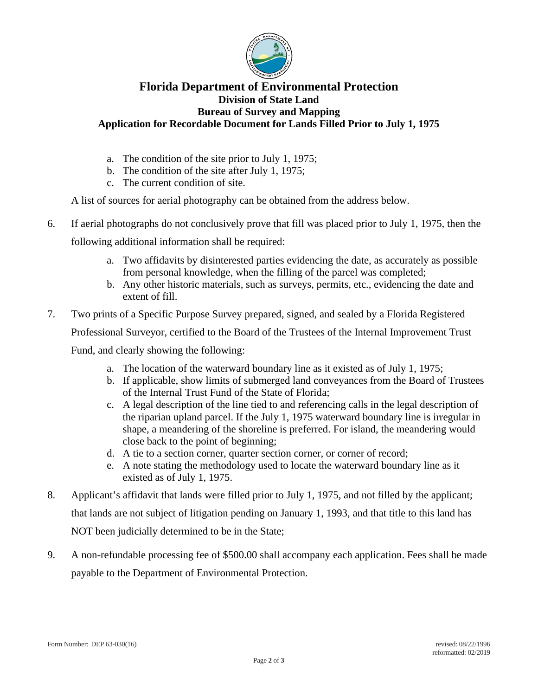

## **Florida Department of Environmental Protection Division of State Land Bureau of Survey and Mapping Application for Recordable Document for Lands Filled Prior to July 1, 1975**

- a. The condition of the site prior to July 1, 1975;
- b. The condition of the site after July 1, 1975;
- c. The current condition of site.

A list of sources for aerial photography can be obtained from the address below.

- 6. If aerial photographs do not conclusively prove that fill was placed prior to July 1, 1975, then the following additional information shall be required:
	- a. Two affidavits by disinterested parties evidencing the date, as accurately as possible from personal knowledge, when the filling of the parcel was completed;
	- b. Any other historic materials, such as surveys, permits, etc., evidencing the date and extent of fill.
- 7. Two prints of a Specific Purpose Survey prepared, signed, and sealed by a Florida Registered Professional Surveyor, certified to the Board of the Trustees of the Internal Improvement Trust Fund, and clearly showing the following:
	- a. The location of the waterward boundary line as it existed as of July 1, 1975;
	- b. If applicable, show limits of submerged land conveyances from the Board of Trustees of the Internal Trust Fund of the State of Florida;
	- c. A legal description of the line tied to and referencing calls in the legal description of the riparian upland parcel. If the July 1, 1975 waterward boundary line is irregular in shape, a meandering of the shoreline is preferred. For island, the meandering would close back to the point of beginning;
	- d. A tie to a section corner, quarter section corner, or corner of record;
	- e. A note stating the methodology used to locate the waterward boundary line as it existed as of July 1, 1975.
- 8. Applicant's affidavit that lands were filled prior to July 1, 1975, and not filled by the applicant; that lands are not subject of litigation pending on January 1, 1993, and that title to this land has NOT been judicially determined to be in the State;
- 9. A non-refundable processing fee of \$500.00 shall accompany each application. Fees shall be made payable to the Department of Environmental Protection.